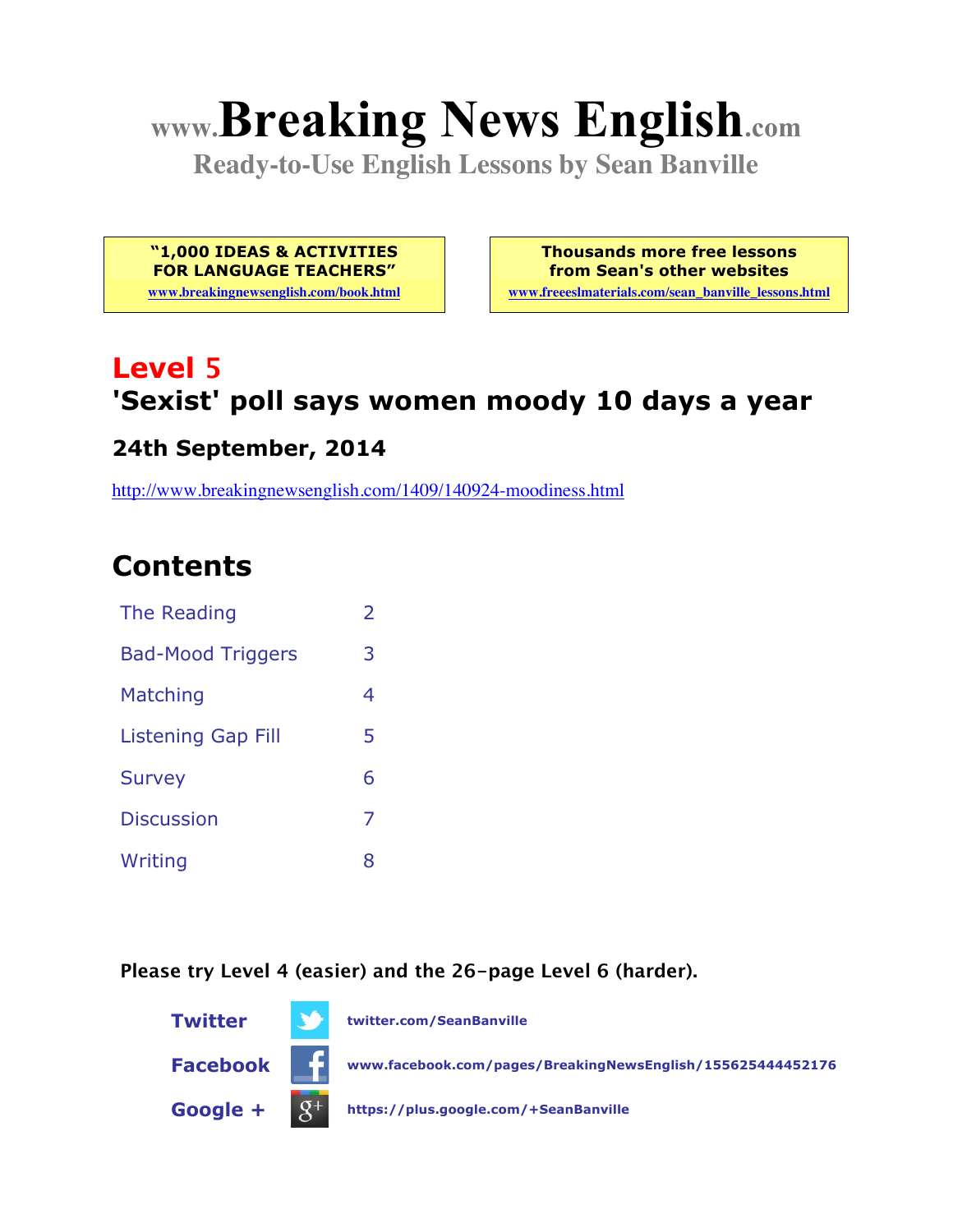# **www.Breaking News English.com**

**Ready-to-Use English Lessons by Sean Banville**

**"1,000 IDEAS & ACTIVITIES FOR LANGUAGE TEACHERS"**

**www.breakingnewsenglish.com/book.html**

**Thousands more free lessons from Sean's other websites**

**www.freeeslmaterials.com/sean\_banville\_lessons.html**

# **Level 5 'Sexist' poll says women moody 10 days a year**

#### **24th September, 2014**

http://www.breakingnewsenglish.com/1409/140924-moodiness.html

## **Contents**

| The Reading               | 2 |
|---------------------------|---|
| <b>Bad-Mood Triggers</b>  | З |
| Matching                  | 4 |
| <b>Listening Gap Fill</b> | 5 |
| <b>Survey</b>             | 6 |
| <b>Discussion</b>         | 7 |
| Writing                   | 8 |

**Please try Level 4 (easier) and the 26-page Level 6 (harder).**

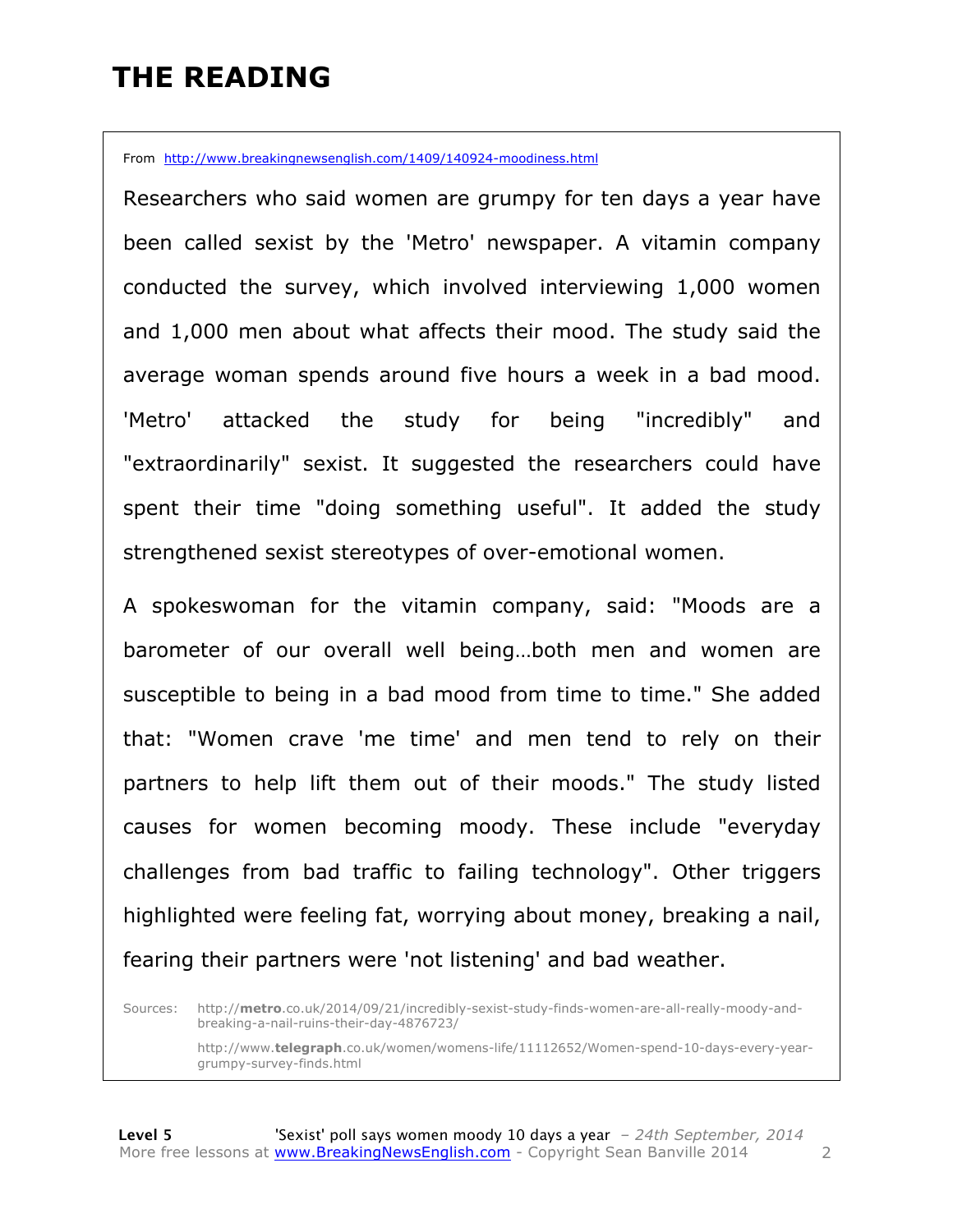### **THE READING**

From http://www.breakingnewsenglish.com/1409/140924-moodiness.html

Researchers who said women are grumpy for ten days a year have been called sexist by the 'Metro' newspaper. A vitamin company conducted the survey, which involved interviewing 1,000 women and 1,000 men about what affects their mood. The study said the average woman spends around five hours a week in a bad mood. 'Metro' attacked the study for being "incredibly" and "extraordinarily" sexist. It suggested the researchers could have spent their time "doing something useful". It added the study strengthened sexist stereotypes of over-emotional women.

A spokeswoman for the vitamin company, said: "Moods are a barometer of our overall well being…both men and women are susceptible to being in a bad mood from time to time." She added that: "Women crave 'me time' and men tend to rely on their partners to help lift them out of their moods." The study listed causes for women becoming moody. These include "everyday challenges from bad traffic to failing technology". Other triggers highlighted were feeling fat, worrying about money, breaking a nail, fearing their partners were 'not listening' and bad weather.

Sources: http://**metro**.co.uk/2014/09/21/incredibly-sexist-study-finds-women-are-all-really-moody-andbreaking-a-nail-ruins-their-day-4876723/

> http://www.**telegraph**.co.uk/women/womens-life/11112652/Women-spend-10-days-every-yeargrumpy-survey-finds.html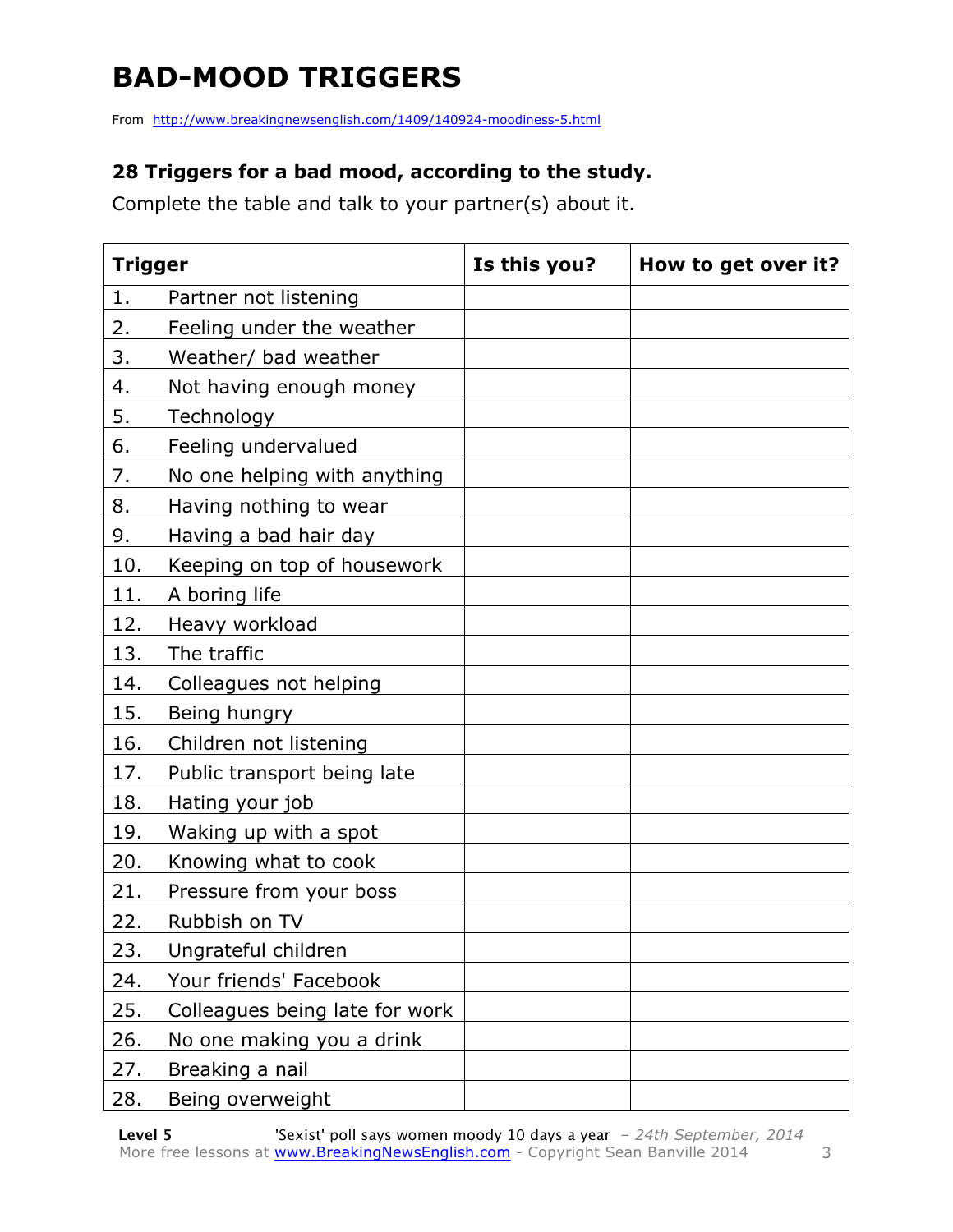# **BAD-MOOD TRIGGERS**

From http://www.breakingnewsenglish.com/1409/140924-moodiness-5.html

#### **28 Triggers for a bad mood, according to the study.**

Complete the table and talk to your partner(s) about it.

| <b>Trigger</b> |                                | Is this you? | How to get over it? |
|----------------|--------------------------------|--------------|---------------------|
| 1.             | Partner not listening          |              |                     |
| 2.             | Feeling under the weather      |              |                     |
| 3.             | Weather/ bad weather           |              |                     |
| 4.             | Not having enough money        |              |                     |
| 5.             | Technology                     |              |                     |
| 6.             | Feeling undervalued            |              |                     |
| 7.             | No one helping with anything   |              |                     |
| 8.             | Having nothing to wear         |              |                     |
| 9.             | Having a bad hair day          |              |                     |
| 10.            | Keeping on top of housework    |              |                     |
| 11.            | A boring life                  |              |                     |
| 12.            | Heavy workload                 |              |                     |
| 13.            | The traffic                    |              |                     |
| 14.            | Colleagues not helping         |              |                     |
| 15.            | Being hungry                   |              |                     |
| 16.            | Children not listening         |              |                     |
| 17.            | Public transport being late    |              |                     |
| 18.            | Hating your job                |              |                     |
| 19.            | Waking up with a spot          |              |                     |
| 20.            | Knowing what to cook           |              |                     |
| 21.            | Pressure from your boss        |              |                     |
| 22.            | Rubbish on TV                  |              |                     |
| 23.            | Ungrateful children            |              |                     |
| 24.            | Your friends' Facebook         |              |                     |
| 25.            | Colleagues being late for work |              |                     |
| 26.            | No one making you a drink      |              |                     |
| 27.            | Breaking a nail                |              |                     |
| 28.            | Being overweight               |              |                     |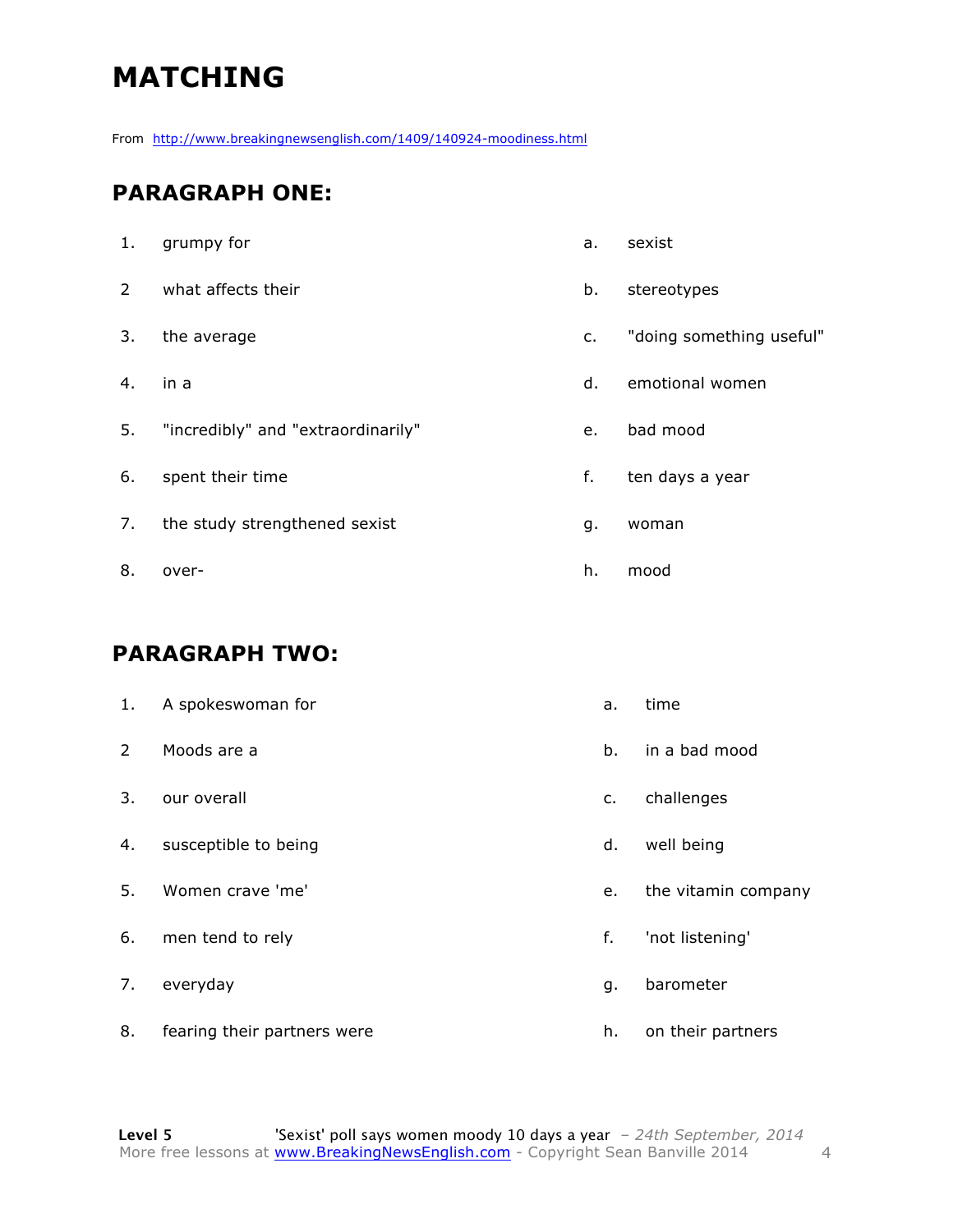# **MATCHING**

From http://www.breakingnewsenglish.com/1409/140924-moodiness.html

#### **PARAGRAPH ONE:**

| 1.             | grumpy for                         | a. | sexist                   |
|----------------|------------------------------------|----|--------------------------|
| $\overline{2}$ | what affects their                 | b. | stereotypes              |
| 3.             | the average                        | c. | "doing something useful" |
| 4.             | in a                               | d. | emotional women          |
| 5.             | "incredibly" and "extraordinarily" | e. | bad mood                 |
| 6.             | spent their time                   | f. | ten days a year          |
| 7.             | the study strengthened sexist      | g. | woman                    |
| 8.             | over-                              | h. | mood                     |

#### **PARAGRAPH TWO:**

| 1.             | A spokeswoman for           | a. | time                |
|----------------|-----------------------------|----|---------------------|
| $\mathsf{2}^-$ | Moods are a                 | b. | in a bad mood       |
| 3.             | our overall                 | c. | challenges          |
| 4.             | susceptible to being        | d. | well being          |
| 5.             | Women crave 'me'            | e. | the vitamin company |
| 6.             | men tend to rely            | f. | 'not listening'     |
| 7.             | everyday                    | g. | barometer           |
| 8.             | fearing their partners were | h. | on their partners   |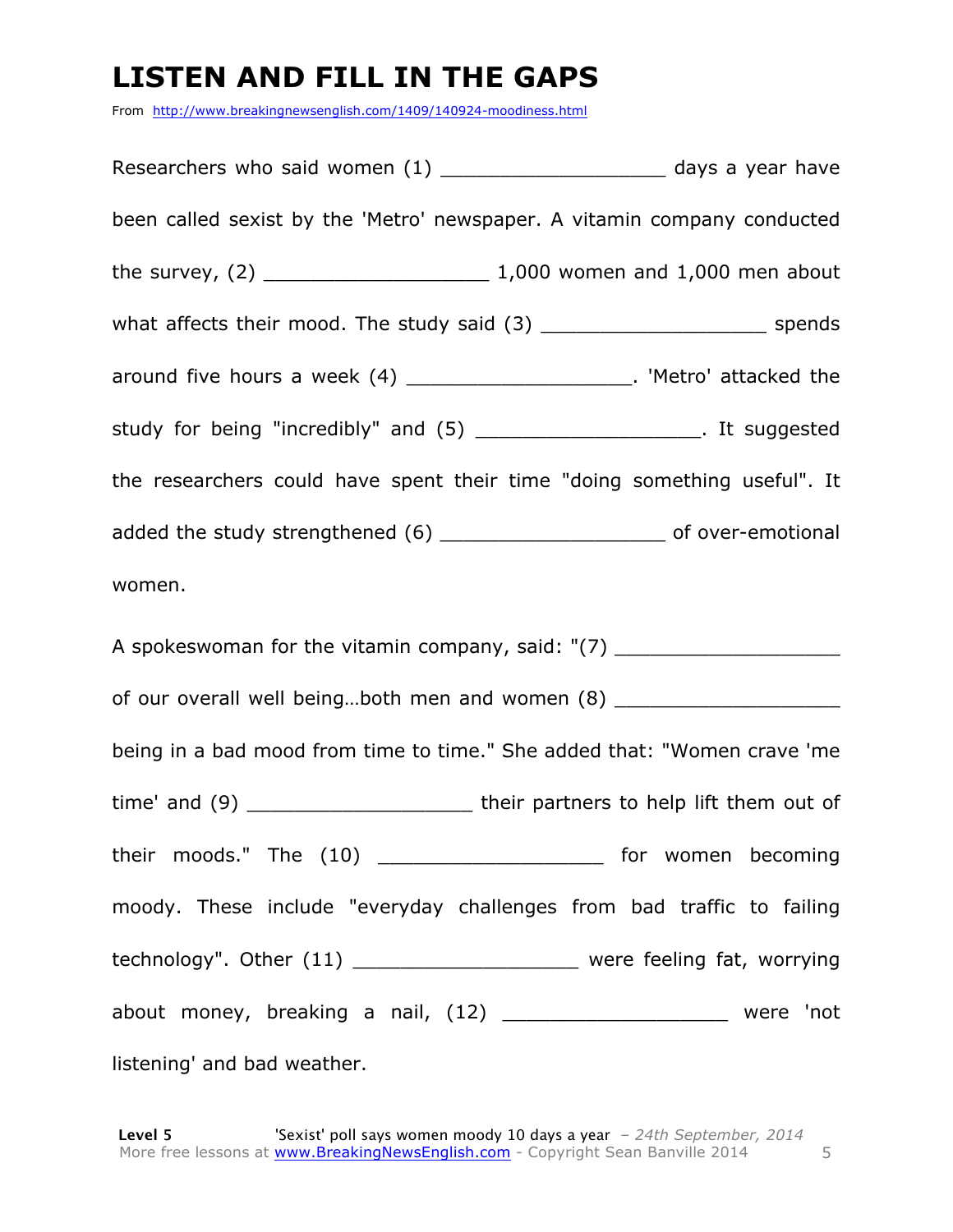# **LISTEN AND FILL IN THE GAPS**

From http://www.breakingnewsenglish.com/1409/140924-moodiness.html

Researchers who said women  $(1)$   $\qquad \qquad$  days a year have been called sexist by the 'Metro' newspaper. A vitamin company conducted the survey,  $(2)$   $1,000$  women and  $1,000$  men about what affects their mood. The study said (3) \_\_\_\_\_\_\_\_\_\_\_\_\_\_\_\_\_\_\_\_\_\_\_\_\_\_\_\_ spends around five hours a week (4) \_\_\_\_\_\_\_\_\_\_\_\_\_\_\_\_\_\_\_\_\_. 'Metro' attacked the study for being "incredibly" and (5) \_\_\_\_\_\_\_\_\_\_\_\_\_\_\_\_\_\_\_. It suggested the researchers could have spent their time "doing something useful". It added the study strengthened (6) and the study strengthened (6) and the study strengthened (6) women. A spokeswoman for the vitamin company, said:  $"$ (7) \_\_\_\_\_\_\_\_\_\_\_\_\_\_\_\_\_\_\_\_\_\_\_\_\_\_\_\_\_ of our overall well being…both men and women (8) \_\_\_\_\_\_\_\_\_\_\_\_\_\_\_\_\_\_\_ being in a bad mood from time to time." She added that: "Women crave 'me time' and (9) \_\_\_\_\_\_\_\_\_\_\_\_\_\_\_\_\_\_\_\_\_\_\_\_\_\_\_ their partners to help lift them out of their moods." The (10) \_\_\_\_\_\_\_\_\_\_\_\_\_\_\_\_\_\_\_\_\_\_\_ for women becoming moody. These include "everyday challenges from bad traffic to failing technology". Other (11) \_\_\_\_\_\_\_\_\_\_\_\_\_\_\_\_\_\_\_\_\_\_\_\_ were feeling fat, worrying about money, breaking a nail, (12) \_\_\_\_\_\_\_\_\_\_\_\_\_\_\_\_\_\_\_ were 'not listening' and bad weather.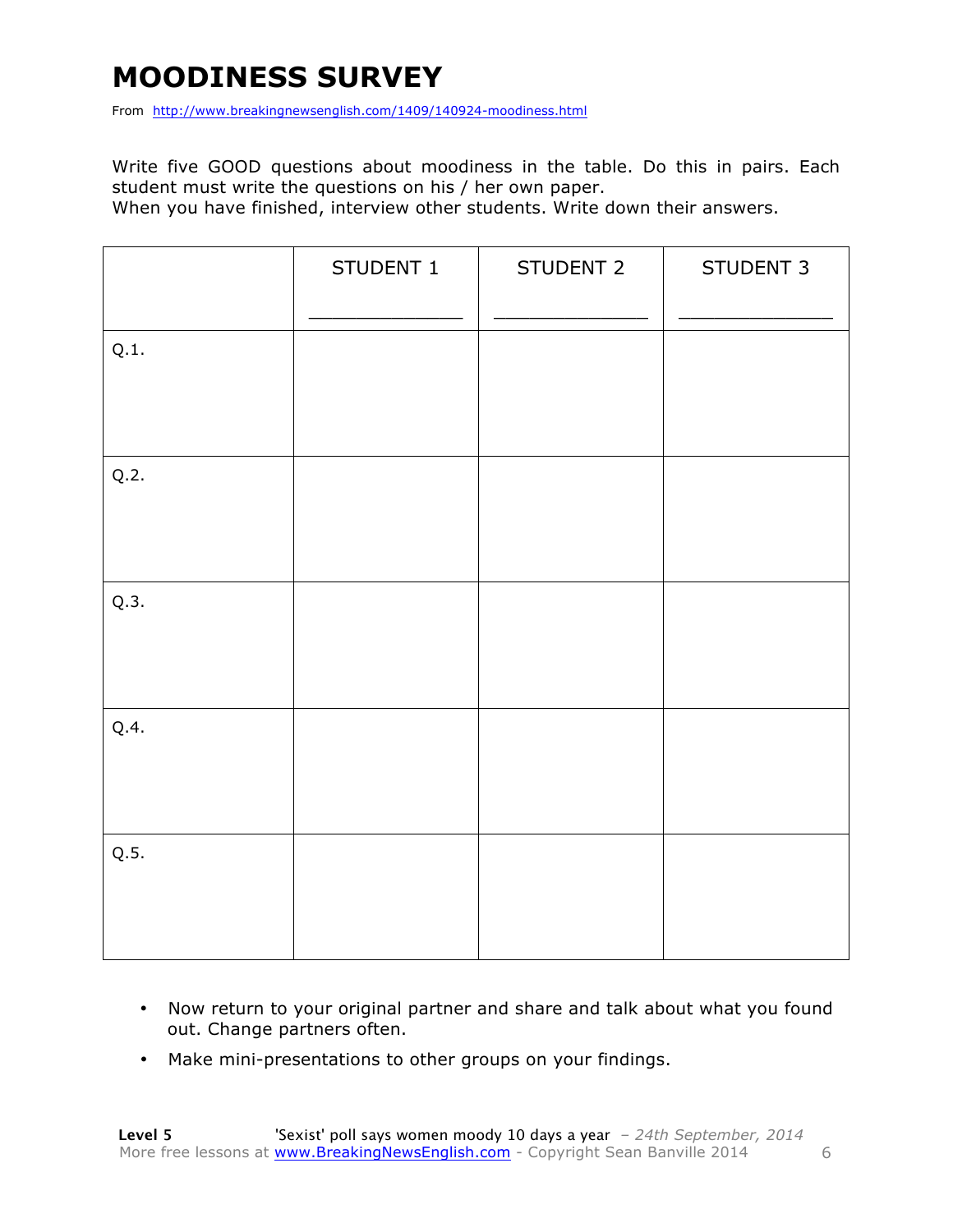## **MOODINESS SURVEY**

From http://www.breakingnewsenglish.com/1409/140924-moodiness.html

Write five GOOD questions about moodiness in the table. Do this in pairs. Each student must write the questions on his / her own paper.

When you have finished, interview other students. Write down their answers.

|      | STUDENT 1 | STUDENT 2 | STUDENT 3 |
|------|-----------|-----------|-----------|
| Q.1. |           |           |           |
| Q.2. |           |           |           |
| Q.3. |           |           |           |
| Q.4. |           |           |           |
| Q.5. |           |           |           |

- Now return to your original partner and share and talk about what you found out. Change partners often.
- Make mini-presentations to other groups on your findings.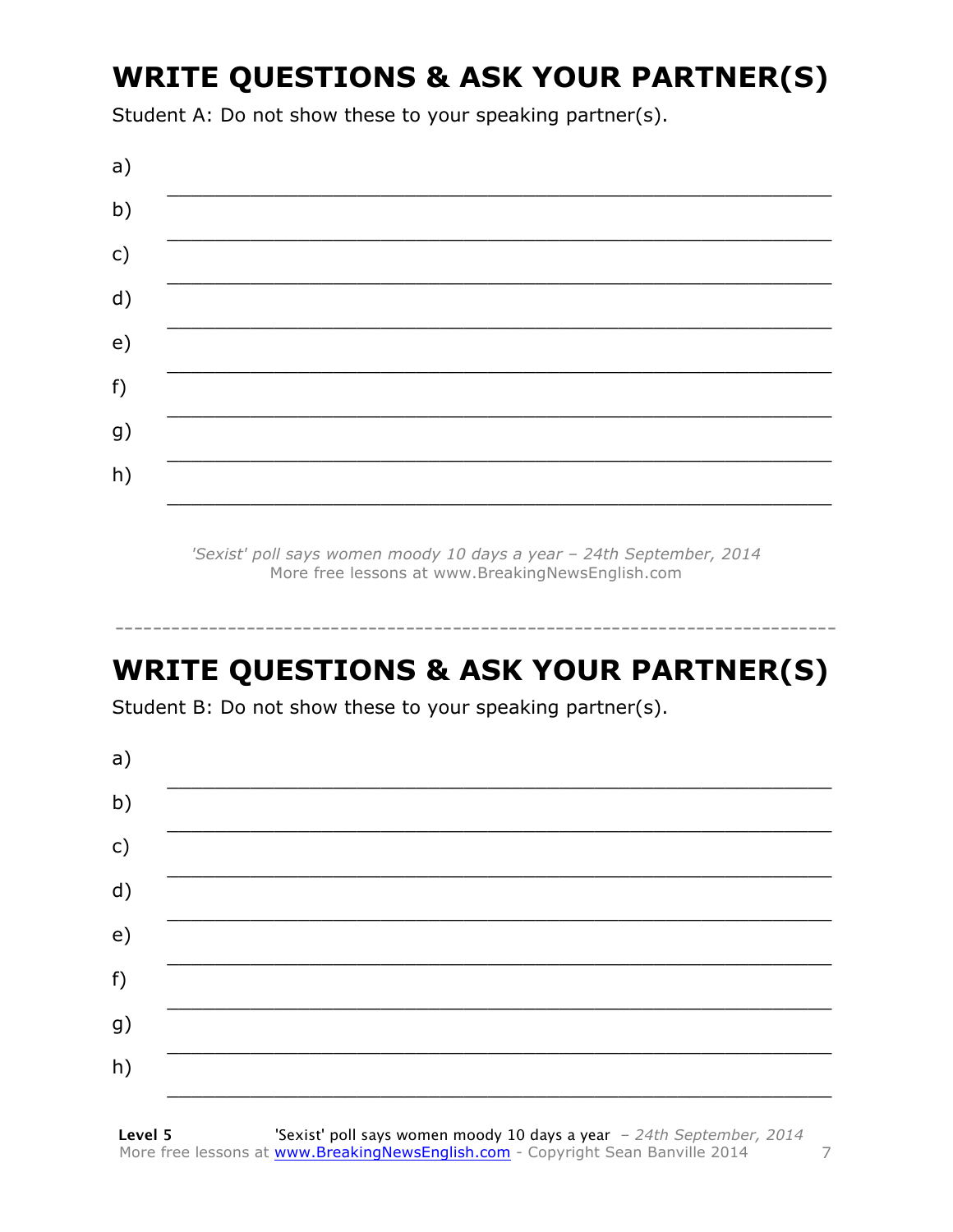# **WRITE QUESTIONS & ASK YOUR PARTNER(S)**

Student A: Do not show these to your speaking partner(s).



'Sexist' poll says women moody 10 days a year - 24th September, 2014 More free lessons at www.BreakingNewsEnglish.com

## **WRITE QUESTIONS & ASK YOUR PARTNER(S)**

Student B: Do not show these to your speaking partner(s).